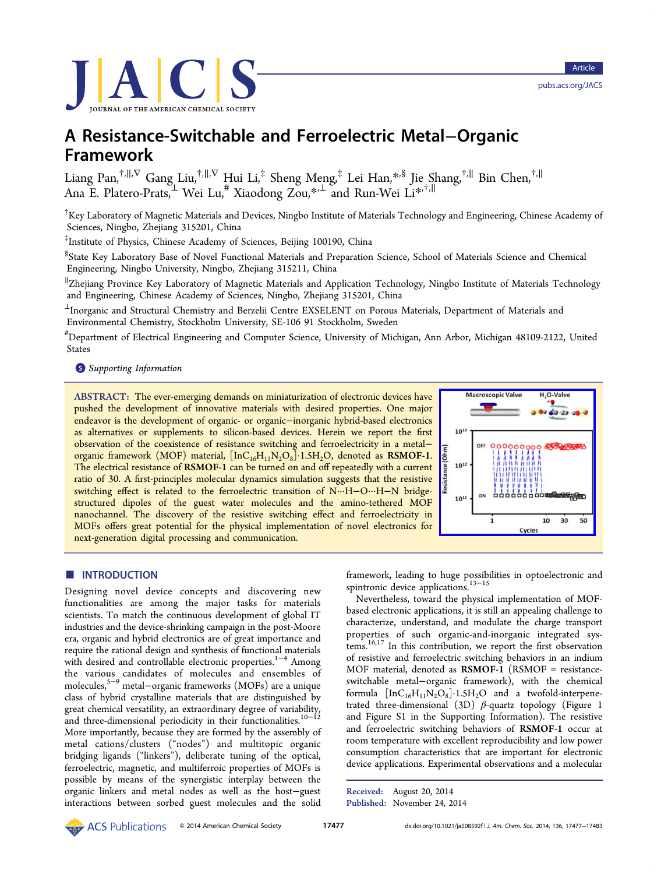

# A Resistance-Switchable and Ferroelectric Metal−Organic Framework

Liang Pan,†,∥,<sup>∇</sup> Gang Liu,†,∥,<sup>∇</sup> Hui Li,‡ Sheng Meng,‡ Lei Han,\*,§ Jie Shang,†,<sup>∥</sup> Bin Chen,†,<sup>∥</sup> Ana E. Plater[o-](#page-5-0)Prats,<sup>⊥</sup> Wei [Lu](#page-5-0),# Xiaodong Zou,\*,<sup>⊥</sup> and Run-W[ei](#page-5-0) Li\*,†,<sup>∥</sup>

† Key Laboratory of Magnetic Materials and Devices, Ningbo [In](#page-5-0)stitute of Materials Tec[hn](#page-5-0)ology and Engineering, Chinese Academy of Sciences, Ningbo, Zhejiang 315201, China

‡ Institute of Physics, Chinese Academy of Sciences, Beijing 100190, China

§ State Key Laboratory Base of Novel Functional Materials and Preparation Science, School of Materials Science and Chemical Engineering, Ningbo University, Ningbo, Zhejiang 315211, China

∥ Zhejiang Province Key Laboratory of Magnetic Materials and Application Technology, Ningbo Institute of Materials Technology and Engineering, Chinese Academy of Sciences, Ningbo, Zhejiang 315201, China

 $^{\perp}$ Inorganic and Structural Chemistry and Berzelii Centre EXSELENT on Porous Materials, Department of Materials and Environmental Chemistry, Stockholm University, SE-106 91 Stockholm, Sweden

# Department of Electrical Engineering and Computer Science, University of Michigan, Ann Arbor, Michigan 48109-2122, United States

#### **S** Supporting Information

[AB](#page-5-0)STRACT: [The ever-eme](#page-5-0)rging demands on miniaturization of electronic devices have pushed the development of innovative materials with desired properties. One major endeavor is the development of organic- or organic−inorganic hybrid-based electronics as alternatives or supplements to silicon-based devices. Herein we report the first observation of the coexistence of resistance switching and ferroelectricity in a metal− organic framework (MOF) material,  $[InC_{16}H_{11}N_2O_8]\cdot 1.5H_2O$ , denoted as RSMOF-1. The electrical resistance of RSMOF-1 can be turned on and off repeatedly with a current ratio of 30. A first-principles molecular dynamics simulation suggests that the resistive switching effect is related to the ferroelectric transition of N···H−O···H−N bridgestructured dipoles of the guest water molecules and the amino-tethered MOF nanochannel. The discovery of the resistive switching effect and ferroelectricity in MOFs offers great potential for the physical implementation of novel electronics for next-generation digital processing and communication.



# **ENTRODUCTION**

Designing novel device concepts and discovering new functionalities are among the major tasks for materials scientists. To match the continuous development of global IT industries and the device-shrinking campaign in the post-Moore era, organic and hybrid electronics are of great importance and require the rational design and synthesis of functional materials with desired and controllable electronic properties.<sup>1−4</sup> Among the various candidates of molecules and ensembles of molecules,5−<sup>9</sup> metal−organic frameworks (MOFs) [ar](#page-5-0)e [a](#page-5-0) unique class of hybrid crystalline materials that are distinguished by great che[mi](#page-5-0)c[a](#page-5-0)l versatility, an extraordinary degree of variability, and three-dimensional periodicity in their functionalities.<sup>10−12</sup> More importantly, because they are formed by the assembly of metal cations/clusters ("nodes") and multitopic or[ga](#page-5-0)[nic](#page-6-0) bridging ligands ("linkers"), deliberate tuning of the optical, ferroelectric, magnetic, and multiferroic properties of MOFs is possible by means of the synergistic interplay between the organic linkers and metal nodes as well as the host−guest interactions between sorbed guest molecules and the solid

framework, leading to huge possibilities in optoelectronic and spintronic device applications.<sup>13–15</sup>

Nevertheless, toward the physical implementation of MOFbased electronic applications, [it i](#page-6-0)s [st](#page-6-0)ill an appealing challenge to characterize, understand, and modulate the charge transport properties of such organic-and-inorganic integrated systems.16,17 In this contribution, we report the first observation of resistive and ferroelectric switching behaviors in an indium MO[F ma](#page-6-0)terial, denoted as RSMOF-1 (RSMOF = resistanceswitchable metal−organic framework), with the chemical formula  $[InC_{16}H_{11}N_2O_8]\cdot 1.5H_2O$  and a twofold-interpenetrated three-dimensional (3D)  $\beta$ -quartz topology (Figure 1 and Figure S1 in the Supporting Information). The resistive and ferroelectric switching behaviors of RSMOF-1 occur [at](#page-1-0) room temperature with [excellent reproducibility](#page-5-0) and low power consumption characteristics that are important for electronic device applications. Experimental observations and a molecular

Received: August 20, 2014 Published: November 24, 2014

**ACS** Publications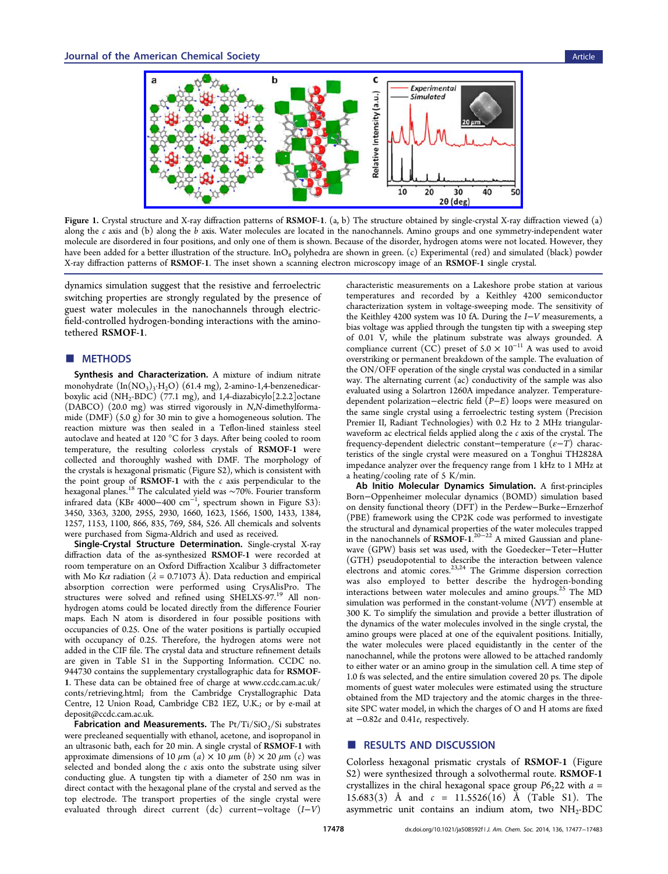<span id="page-1-0"></span>

Figure 1. Crystal structure and X-ray diffraction patterns of RSMOF-1. (a, b) The structure obtained by single-crystal X-ray diffraction viewed (a) along the  $c$  axis and (b) along the  $b$  [axis. Water molecules are located in the nanochannels. Amino groups and one symme](http://pubs.acs.org/action/showImage?doi=10.1021/ja508592f&iName=master.img-001.jpg&w=349&h=123)try-independent water molecule are disordered in four positions, and only one of them is shown. Because of the disorder, hydrogen atoms were not located. However, they have been added for a better illustration of the structure. InO<sub>8</sub> polyhedra are shown in green. (c) Experimental (red) and simulated (black) powder X-ray diffraction patterns of RSMOF-1. The inset shown a scanning electron microscopy image of an RSMOF-1 single crystal.

dynamics simulation suggest that the resistive and ferroelectric switching properties are strongly regulated by the presence of guest water molecules in the nanochannels through electricfield-controlled hydrogen-bonding interactions with the aminotethered RSMOF-1.

#### ■ METHODS

Synthesis and Characterization. A mixture of indium nitrate monohydrate  $(In(NO<sub>3</sub>)<sub>3</sub>·H<sub>2</sub>O)$  (61.4 mg), 2-amino-1,4-benzenedicarboxylic acid (NH<sub>2</sub>-BDC) (77.1 mg), and 1,4-diazabicylo<sup>[2.2.2]</sup>octane (DABCO) (20.0 mg) was stirred vigorously in N,N-dimethylformamide (DMF) (5.0 g) for 30 min to give a homogeneous solution. The reaction mixture was then sealed in a Teflon-lined stainless steel autoclave and heated at 120 °C for 3 days. After being cooled to room temperature, the resulting colorless crystals of RSMOF-1 were collected and thoroughly washed with DMF. The morphology of the crystals is hexagonal prismatic (Figure S2), which is consistent with the point group of  $RSMOF-1$  with the  $c$  axis perpendicular to the hexagonal planes.<sup>18</sup> The calculated yield was ∼70%. Fourier transform infrared data (KBr 4000−400 cm<sup>−</sup><sup>1</sup> [, spectru](#page-5-0)m shown in Figure S3): 3450, 3363, 320[0,](#page-6-0) 2955, 2930, 1660, 1623, 1566, 1500, 1433, 1384, 1257, 1153, 1100, 866, 835, 769, 584, 526. All chemicals [and solvent](#page-5-0)s were purchased from Sigma-Aldrich and used as received.

Single-Crystal Structure Determination. Single-crystal X-ray diffraction data of the as-synthesized RSMOF-1 were recorded at room temperature on an Oxford Diffraction Xcalibur 3 diffractometer with Mo K $\alpha$  radiation ( $\lambda = 0.71073$  Å). Data reduction and empirical absorption correction were performed using CrysAlisPro. The structures were solved and refined using SHELXS-97.<sup>19</sup> All nonhydrogen atoms could be located directly from the difference Fourier maps. Each N atom is disordered in four possible p[osit](#page-6-0)ions with occupancies of 0.25. One of the water positions is partially occupied with occupancy of 0.25. Therefore, the hydrogen atoms were not added in the CIF file. The crystal data and structure refinement details are given in Table S1 in the Supporting Information. CCDC no. 944730 contains the supplementary crystallographic data for RSMOF-1. These data can be obtained free of charge at www.ccdc.cam.ac.uk/ conts/retrieving.html; from th[e Cambridge Crystallog](#page-5-0)raphic Data Centre, 12 Union Road, Cambridge CB2 1EZ, [U.K.; or by e-mail at](www.ccdc.cam.ac.uk/conts/retrieving.html) deposit@ccdc.cam.ac.uk.

**[Fabrication](www.ccdc.cam.ac.uk/conts/retrieving.html) [and](www.ccdc.cam.ac.uk/conts/retrieving.html) Measurements.** The  $Pt/Ti/SiO<sub>2</sub>/Si$  substrates were precleaned sequentially with ethanol, acetone, and isopropanol in [an](mailto:deposit@ccdc.cam.ac.uk) [ultrasonic](mailto:deposit@ccdc.cam.ac.uk) [bath,](mailto:deposit@ccdc.cam.ac.uk) [each](mailto:deposit@ccdc.cam.ac.uk) for 20 min. A single crystal of RSMOF-1 with approximate dimensions of 10  $\mu$ m (a)  $\times$  10  $\mu$ m (b)  $\times$  20  $\mu$ m (c) was selected and bonded along the  $c$  axis onto the substrate using silver conducting glue. A tungsten tip with a diameter of 250 nm was in direct contact with the hexagonal plane of the crystal and served as the top electrode. The transport properties of the single crystal were evaluated through direct current (dc) current−voltage (I−V)

characteristic measurements on a Lakeshore probe station at various temperatures and recorded by a Keithley 4200 semiconductor characterization system in voltage-sweeping mode. The sensitivity of the Keithley 4200 system was 10 fA. During the I−V measurements, a bias voltage was applied through the tungsten tip with a sweeping step of 0.01 V, while the platinum substrate was always grounded. A compliance current (CC) preset of  $5.0 \times 10^{-11}$  A was used to avoid overstriking or permanent breakdown of the sample. The evaluation of the ON/OFF operation of the single crystal was conducted in a similar way. The alternating current (ac) conductivity of the sample was also evaluated using a Solartron 1260A impedance analyzer. Temperaturedependent polarization−electric field (P−E) loops were measured on the same single crystal using a ferroelectric testing system (Precision Premier II, Radiant Technologies) with 0.2 Hz to 2 MHz triangularwaveform ac electrical fields applied along the  $c$  axis of the crystal. The frequency-dependent dielectric constant–temperature  $(e-T)$  characteristics of the single crystal were measured on a Tonghui TH2828A impedance analyzer over the frequency range from 1 kHz to 1 MHz at a heating/cooling rate of 5 K/min.

Ab Initio Molecular Dynamics Simulation. A first-principles Born−Oppenheimer molecular dynamics (BOMD) simulation based on density functional theory (DFT) in the Perdew−Burke−Ernzerhof (PBE) framework using the CP2K code was performed to investigate the structural and dynamical properties of the water molecules trapped in the nanochannels of  $\widehat{RSMOF-1}^{20-22}$  A mixed Gaussian and planewave (GPW) basis set was used, with the Goedecker−Teter−Hutter (GTH) pseudopotential to descri[be](#page-6-0) [the](#page-6-0) interaction between valence electrons and atomic cores.<sup>23,24</sup> The Grimme dispersion correction was also employed to better describe the hydrogen-bonding interactions between water [mole](#page-6-0)cules and amino groups.<sup>25</sup> The MD simulation was performed in the constant-volume (NVT) ensemble at 300 K. To simplify the simulation and provide a better il[lus](#page-6-0)tration of the dynamics of the water molecules involved in the single crystal, the amino groups were placed at one of the equivalent positions. Initially, the water molecules were placed equidistantly in the center of the nanochannel, while the protons were allowed to be attached randomly to either water or an amino group in the simulation cell. A time step of 1.0 fs was selected, and the entire simulation covered 20 ps. The dipole moments of guest water molecules were estimated using the structure obtained from the MD trajectory and the atomic charges in the threesite SPC water model, in which the charges of O and H atoms are fixed at −0.82e and 0.41e, respectively.

#### ■ RESULTS AND DISCUSSION

Colorless hexagonal prismatic crystals of RSMOF-1 (Figure S2) were synthesized through a solvothermal route. RSMOF-1 crystallizes in the chiral hexagonal space group  $P6<sub>2</sub>22$  with  $a =$ [15](#page-5-0).683(3) Å and  $c = 11.5526(16)$  Å (Table S1[\).](#page-5-0) [The](#page-5-0) asymmetric unit contains an indium atom, two  $NH<sub>2</sub>-BDC$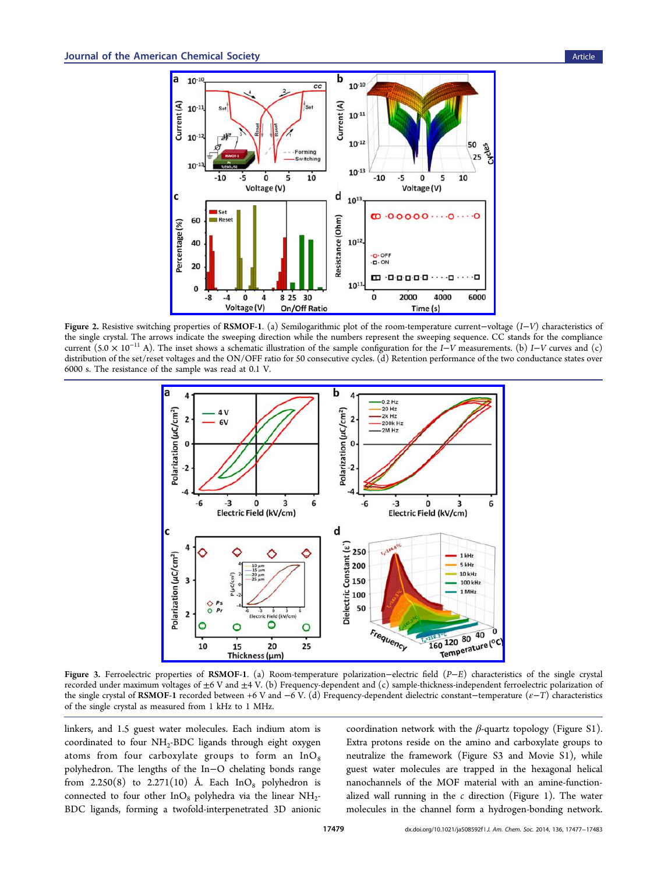<span id="page-2-0"></span>

Figure 2. Resistive switching properties of RSMOF-1. (a) Semilogarithmic plot of the room-temperature current−voltage (I−V) characteristics of the single crystal. The arrow[s indicate the sweeping direction while the numbers represent the sweeping sequence. C](http://pubs.acs.org/action/showImage?doi=10.1021/ja508592f&iName=master.img-002.jpg&w=299&h=223)C stands for the compliance current (5.0 × 10<sup>−</sup><sup>11</sup> A). The inset shows a schematic illustration of the sample configuration for the I−V measurements. (b) I−V curves and (c) distribution of the set/reset voltages and the ON/OFF ratio for 50 consecutive cycles. (d) Retention performance of the two conductance states over 6000 s. The resistance of the sample was read at 0.1 V.



Figure 3. Ferroelectric properties of RSMOF-1. (a) Room-temperature polarization−electric field (P−E) characteristics of the single crystal recorded under maximum voltages of  $\pm 6$  V and  $\pm 4$  V. (b) Frequency-dependent and (c) sample-thickness-independent ferroelectric polarization of the single crystal of RSMOF-1 recorded between +6 V and −6 V. (d) Frequency-dependent dielectric constant−temperature ( $\varepsilon$ −T) characteristics of the single crystal as measured from 1 kHz to 1 MHz.

linkers, and 1.5 guest water molecules. Each indium atom is coordinated to four  $NH<sub>2</sub>-BDC$  ligands through eight oxygen atoms from four carboxylate groups to form an  $InO_8$ polyhedron. The lengths of the In−O chelating bonds range from 2.250(8) to 2.271(10) Å. Each  $InO_8$  polyhedron is connected to four other  $InO_8$  polyhedra via the linear  $NH_2$ -BDC ligands, forming a twofold-interpenetrated 3D anionic

coordination network with the  $β$ -quartz topology (Figure S1). Extra protons reside on the amino and carboxylate groups to neutralize the framework (Figure S3 and Movie [S1\), whil](#page-5-0)e guest water molecules are trapped in the hexagonal helical nanochannels of the MOF [material with an amine-fu](#page-5-0)nctionalized wall running in the  $c$  direction (Figure 1). The water molecules in the channel form a hydrogen-bonding network.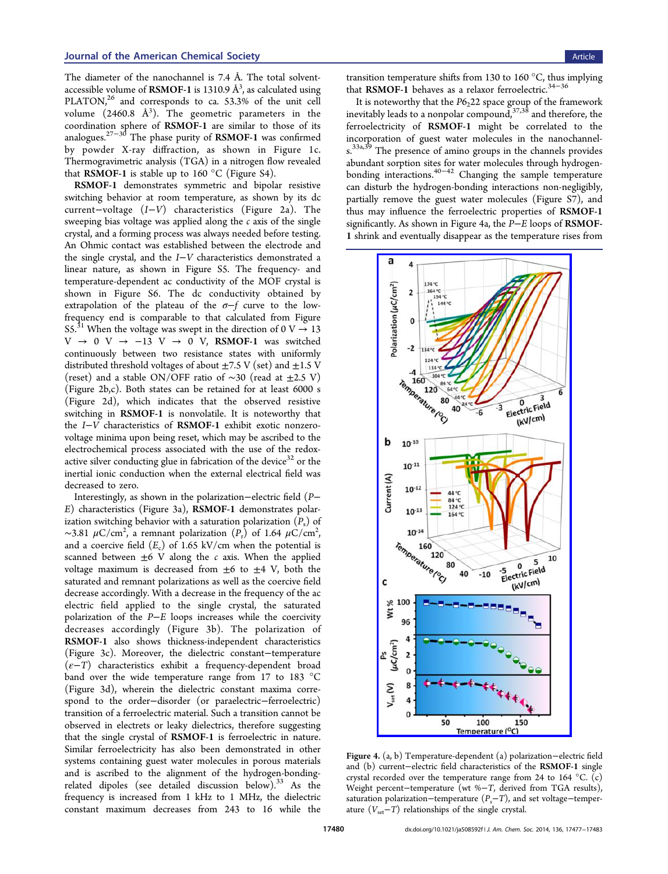<span id="page-3-0"></span>The diameter of the nanochannel is 7.4 Å. The total solventaccessible volume of **RSMOF-1** is 1310.9  $\mathrm{\AA}^{3}$ , as calculated using PLATON,<sup>26</sup> and corresponds to ca. 53.3% of the unit cell volume  $(2460.8 \text{ Å}^3)$ . The geometric parameters in the coordinati[on](#page-6-0) sphere of RSMOF-1 are similar to those of its analogues.27−<sup>30</sup> The phase purity of RSMOF-1 was confirmed by powder X-ray diffraction, as shown in Figure 1c. Thermog[rav](#page-6-0)i[me](#page-6-0)tric analysis (TGA) in a nitrogen flow revealed that RSMOF-1 is stable up to 160  $\degree$ C (Figure S4).

RSMOF-1 demonstrates symmetric and bipolar resis[tiv](#page-1-0)e switching behavior at room temperatur[e, as show](#page-5-0)n by its dc current−voltage (I−V) characteristics (Figure 2a). The sweeping bias voltage was applied along the  $c$  axis of the single crystal, and a forming process was always needed bef[ore](#page-2-0) testing. An Ohmic contact was established between the electrode and the single crystal, and the I−V characteristics demonstrated a linear nature, as shown in Figure S5. The frequency- and temperature-dependent ac conductivity of the MOF crystal is shown in Figure S6. The [dc cond](#page-5-0)uctivity obtained by extrapolation of the plateau of the  $\sigma$ −f curve to the lowfrequency e[nd is comp](#page-5-0)arable to that calculated from Figure S5.<sup>31</sup> When the voltage was swept in the direction of 0 V  $\rightarrow$  13 V → 0 V →  $-13$  V → 0 V, RSMOF-1 was s[witched](#page-5-0) [co](#page-5-0)[nti](#page-6-0)nuously between two resistance states with uniformly distributed threshold voltages of about  $\pm$ 7.5 V (set) and  $\pm$ 1.5 V (reset) and a stable ON/OFF ratio of  $\sim$ 30 (read at  $\pm$ 2.5 V) (Figure 2b,c). Both states can be retained for at least 6000 s (Figure 2d), which indicates that the observed resistive switchin[g](#page-2-0) in RSMOF-1 is nonvolatile. It is noteworthy that the I−V [ch](#page-2-0)aracteristics of RSMOF-1 exhibit exotic nonzerovoltage minima upon being reset, which may be ascribed to the electrochemical process associated with the use of the redoxactive silver conducting glue in fabrication of the device<sup>32</sup> or the inertial ionic conduction when the external electrical field was decreased to zero.

Interestingly, as shown in the polarization−electric [fi](#page-6-0)eld (P− E) characteristics (Figure 3a), RSMOF-1 demonstrates polarization switching behavior with a saturation polarization  $(P_s)$  of ~3.81  $\mu$ C/cm<sup>2</sup>, a remnan[t](#page-2-0) polarization  $(P_r)$  of 1.64  $\mu$ C/cm<sup>2</sup> , and a coercive field  $(E_c)$  of 1.65 kV/cm when the potential is scanned between  $\pm 6$  V along the c axis. When the applied voltage maximum is decreased from  $\pm 6$  to  $\pm 4$  V, both the saturated and remnant polarizations as well as the coercive field decrease accordingly. With a decrease in the frequency of the ac electric field applied to the single crystal, the saturated polarization of the P−E loops increases while the coercivity decreases accordingly (Figure 3b). The polarization of RSMOF-1 also shows thickness-independent characteristics (Figure 3c). Moreover, the diel[ect](#page-2-0)ric constant−temperature  $(\varepsilon-T)$  characteristics exhibit a frequency-dependent broad band ov[er](#page-2-0) the wide temperature range from 17 to 183 °C (Figure 3d), wherein the dielectric constant maxima correspond to the order−disorder (or paraelectric−ferroelectric) transitio[n o](#page-2-0)f a ferroelectric material. Such a transition cannot be observed in electrets or leaky dielectrics, therefore suggesting that the single crystal of RSMOF-1 is ferroelectric in nature. Similar ferroelectricity has also been demonstrated in other systems containing guest water molecules in porous materials and is ascribed to the alignment of the hydrogen-bondingrelated dipoles (see detailed discussion below).<sup>33</sup> As the frequency is increased from 1 kHz to 1 MHz, the dielectric constant maximum decreases from 243 to 16 [w](#page-6-0)hile the

transition temperature shifts from 130 to 160 $\degree$ C, thus implying that RSMOF-1 behaves as a relaxor ferroelectric.<sup>34−36</sup>

It is noteworthy that the  $P6<sub>2</sub>22$  space group of the framework inevitably leads to a nonpolar compound,  $37,38$  and [there](#page-6-0)fore, the ferroelectricity of RSMOF-1 might be correlated to the incorporation of guest water molecule[s in](#page-6-0) the nanochannels.<sup>33a,39</sup> The presence of amino groups in the channels provides abundant sorption sites for water molecules through hydrogenb[ondin](#page-6-0)g interactions.40−<sup>42</sup> Changing the sample temperature can disturb the hydrogen-bonding interactions non-negligibly, partially remove the [guest](#page-6-0) water molecules (Figure S7), and thus may influence the ferroelectric properties of RSMOF-1 significantly. As shown in Figure 4a, the P−E l[oops of](#page-5-0) RSMOF-1 shrink and eventually disappear as the temperature rises from



Figure 4. [\(a, b\) Temperature-dependent \(a\) polarization](http://pubs.acs.org/action/showImage?doi=10.1021/ja508592f&iName=master.img-004.jpg&w=177&h=447)−electric field and (b) current−electric field characteristics of the RSMOF-1 single crystal recorded over the temperature range from 24 to 164  $^{\circ}$ C. (c) Weight percent−temperature (wt %−T, derived from TGA results), saturation polarization−temperature  $(P_s-T)$ , and set voltage–temperature  $(V<sub>set</sub>−T)$  relationships of the single crystal.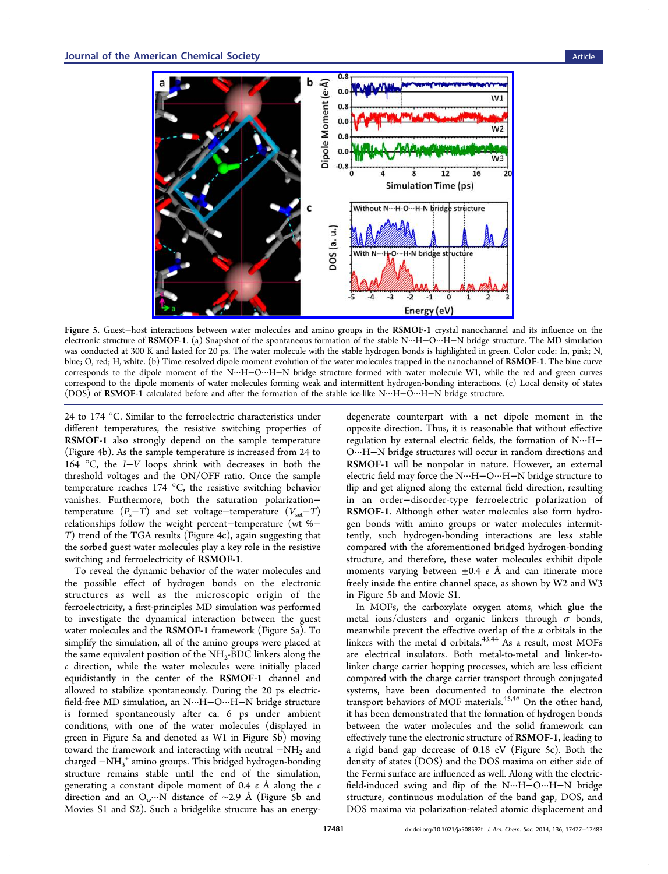

Figure 5. Guest−host i[nteractions between water molecules and amino groups in the](http://pubs.acs.org/action/showImage?doi=10.1021/ja508592f&iName=master.img-005.jpg&w=333&h=226) RSMOF-1 crystal nanochannel and its influence on the electronic structure of RSMOF-1. (a) Snapshot of the spontaneous formation of the stable N···H−O···H−N bridge structure. The MD simulation was conducted at 300 K and lasted for 20 ps. The water molecule with the stable hydrogen bonds is highlighted in green. Color code: In, pink; N, blue; O, red; H, white. (b) Time-resolved dipole moment evolution of the water molecules trapped in the nanochannel of RSMOF-1. The blue curve corresponds to the dipole moment of the N···H−O···H−N bridge structure formed with water molecule W1, while the red and green curves correspond to the dipole moments of water molecules forming weak and intermittent hydrogen-bonding interactions. (c) Local density of states (DOS) of RSMOF-1 calculated before and after the formation of the stable ice-like N···H−O···H−N bridge structure.

24 to 174 °C. Similar to the ferroelectric characteristics under different temperatures, the resistive switching properties of RSMOF-1 also strongly depend on the sample temperature (Figure 4b). As the sample temperature is increased from 24 to 164 °C, the I−V loops shrink with decreases in both the thresho[ld](#page-3-0) voltages and the ON/OFF ratio. Once the sample temperature reaches 174 °C, the resistive switching behavior vanishes. Furthermore, both the saturation polarization− temperature  $(P_s-T)$  and set voltage−temperature  $(V_{set}-T)$ relationships follow the weight percent−temperature (wt %− T) trend of the TGA results (Figure 4c), again suggesting that the sorbed guest water molecules play a key role in the resistive switching and ferroelectricity of RS[MO](#page-3-0)F-1.

To reveal the dynamic behavior of the water molecules and the possible effect of hydrogen bonds on the electronic structures as well as the microscopic origin of the ferroelectricity, a first-principles MD simulation was performed to investigate the dynamical interaction between the guest water molecules and the RSMOF-1 framework (Figure 5a). To simplify the simulation, all of the amino groups were placed at the same equivalent position of the NH<sub>2</sub>-BDC linkers along the c direction, while the water molecules were initially placed equidistantly in the center of the RSMOF-1 channel and allowed to stabilize spontaneously. During the 20 ps electricfield-free MD simulation, an N···H−O···H−N bridge structure is formed spontaneously after ca. 6 ps under ambient conditions, with one of the water molecules (displayed in green in Figure 5a and denoted as W1 in Figure 5b) moving toward the framework and interacting with neutral −NH2 and charged −NH3 <sup>+</sup> amino groups. This bridged hydrogen-bonding structure remains stable until the end of the simulation, generating a constant dipole moment of 0.4  $e$  Å along the  $c$ direction and an O<sub>w</sub>…N distance of ~2.9 Å (Figure 5b and Movies S1 and S2). Such a bridgelike strucure has an energydegenerate counterpart with a net dipole moment in the opposite direction. Thus, it is reasonable that without effective regulation by external electric fields, the formation of N···H− O···H−N bridge structures will occur in random directions and RSMOF-1 will be nonpolar in nature. However, an external electric field may force the N···H−O···H−N bridge structure to flip and get aligned along the external field direction, resulting in an order−disorder-type ferroelectric polarization of RSMOF-1. Although other water molecules also form hydrogen bonds with amino groups or water molecules intermittently, such hydrogen-bonding interactions are less stable compared with the aforementioned bridged hydrogen-bonding structure, and therefore, these water molecules exhibit dipole moments varying between  $\pm 0.4$  e Å and can itinerate more freely inside the entire channel space, as shown by W2 and W3 in Figure 5b and Movie S1.

In MOFs, the carboxylate oxygen atoms, which glue the metal ions/clust[ers and o](#page-5-0)rganic linkers through  $\sigma$  bonds, meanwhile prevent the effective overlap of the  $\pi$  orbitals in the linkers with the metal d orbitals. $43,44$  As a result, most MOFs are electrical insulators. Both metal-to-metal and linker-tolinker charge carrier hopping pro[cesse](#page-6-0)s, which are less efficient compared with the charge carrier transport through conjugated systems, have been documented to dominate the electron transport behaviors of MOF materials.<sup>45,46</sup> On the other hand, it has been demonstrated that the formation of hydrogen bonds between the water molecules and t[he so](#page-6-0)lid framework can effectively tune the electronic structure of RSMOF-1, leading to a rigid band gap decrease of 0.18 eV (Figure 5c). Both the density of states (DOS) and the DOS maxima on either side of the Fermi surface are influenced as well. Along with the electricfield-induced swing and flip of the N···H−O···H−N bridge structure, continuous modulation of the band gap, DOS, and DOS maxima via polarization-related atomic displacement and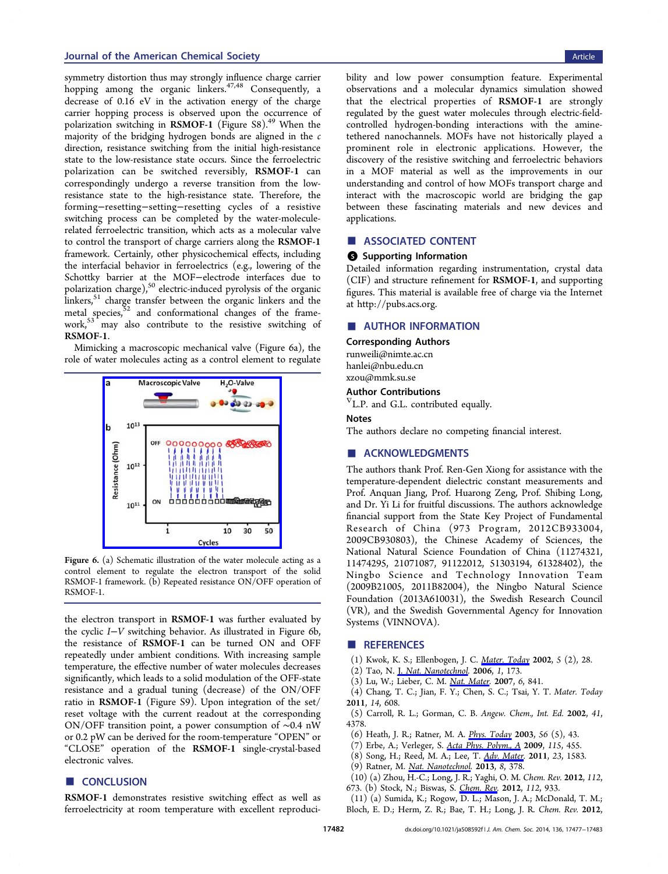<span id="page-5-0"></span>symmetry distortion thus may strongly influence charge carrier hopping among the organic linkers.<sup>47,48</sup> Consequently, a decrease of 0.16 eV in the activation energy of the charge carrier hopping process is observed u[pon](#page-6-0) the occurrence of polarization switching in RSMOF-1 (Figure  $S8$ ).<sup>49</sup> When the majority of the bridging hydrogen bonds are aligned in the c direction, resistance switching from the initial h[igh](#page-6-0)-resistance state to the low-resistance state occurs. Since the ferroelectric polarization can be switched reversibly, RSMOF-1 can correspondingly undergo a reverse transition from the lowresistance state to the high-resistance state. Therefore, the forming−resetting−setting−resetting cycles of a resistive switching process can be completed by the water-moleculerelated ferroelectric transition, which acts as a molecular valve to control the transport of charge carriers along the RSMOF-1 framework. Certainly, other physicochemical effects, including the interfacial behavior in ferroelectrics (e.g., lowering of the Schottky barrier at the MOF−electrode interfaces due to polarization charge), $50$  electric-induced pyrolysis of the organic linkers, $51$  charge transfer between the organic linkers and the metal species, $52$  an[d](#page-6-0) conformational changes of the framework,5[3](#page-6-0) may also contribute to the resistive switching of RSMOF-1.

Mi[mi](#page-6-0)cking a macroscopic mechanical valve (Figure 6a), the role of water molecules acting as a control element to regulate



Figure 6. [\(a\) Schematic illustration of the water molecule](http://pubs.acs.org/action/showImage?doi=10.1021/ja508592f&iName=master.img-006.jpg&w=162&h=155) acting as a control element to regulate the electron transport of the solid RSMOF-1 framework. (b) Repeated resistance ON/OFF operation of RSMOF-1.

the electron transport in RSMOF-1 was further evaluated by the cyclic I−V switching behavior. As illustrated in Figure 6b, the resistance of RSMOF-1 can be turned ON and OFF repeatedly under ambient conditions. With increasing sample temperature, the effective number of water molecules decreases significantly, which leads to a solid modulation of the OFF-state resistance and a gradual tuning (decrease) of the ON/OFF ratio in RSMOF-1 (Figure S9). Upon integration of the set/ reset voltage with the current readout at the corresponding ON/OFF transition point, a power consumption of ∼0.4 nW or 0.2 pW can be derived for the room-temperature "OPEN" or "CLOSE" operation of the RSMOF-1 single-crystal-based electronic valves.

# ■ CONCLUSION

RSMOF-1 demonstrates resistive switching effect as well as ferroelectricity at room temperature with excellent reproducibility and low power consumption feature. Experimental observations and a molecular dynamics simulation showed that the electrical properties of RSMOF-1 are strongly regulated by the guest water molecules through electric-fieldcontrolled hydrogen-bonding interactions with the aminetethered nanochannels. MOFs have not historically played a prominent role in electronic applications. However, the discovery of the resistive switching and ferroelectric behaviors in a MOF material as well as the improvements in our understanding and control of how MOFs transport charge and interact with the macroscopic world are bridging the gap between these fascinating materials and new devices and applications.

#### ■ ASSOCIATED CONTENT

## **6** Supporting Information

Detailed information regarding instrumentation, crystal data (CIF) and structure refinement for RSMOF-1, and supporting figures. This material is available free of charge via the Internet at http://pubs.acs.org.

#### ■ [AUTHOR INFOR](http://pubs.acs.org)MATION

Corresponding Authors runweili@nimte.ac.cn

# hanlei@nbu.edu.cn [xzou@mmk.su.se](mailto:runweili@nimte.ac.cn)

# [Author Contributi](mailto:hanlei@nbu.edu.cn)ons

 $\nabla$  [L.P. and G.L. co](mailto:xzou@mmk.su.se)ntributed equally.

#### Notes

The authors declare no competing financial interest.

## ■ ACKNOWLEDGMENTS

The authors thank Prof. Ren-Gen Xiong for assistance with the temperature-dependent dielectric constant measurements and Prof. Anquan Jiang, Prof. Huarong Zeng, Prof. Shibing Long, and Dr. Yi Li for fruitful discussions. The authors acknowledge financial support from the State Key Project of Fundamental Research of China (973 Program, 2012CB933004, 2009CB930803), the Chinese Academy of Sciences, the National Natural Science Foundation of China (11274321, 11474295, 21071087, 91122012, 51303194, 61328402), the Ningbo Science and Technology Innovation Team (2009B21005, 2011B82004), the Ningbo Natural Science Foundation (2013A610031), the Swedish Research Council (VR), and the Swedish Governmental Agency for Innovation Systems (VINNOVA).

#### ■ REFERENCES

- (1) Kwok, K. S.; Ellenbogen, J. C. Mater. Today 2002, 5 (2), 28.
- (2) Tao, N. J. Nat. Nanotechnol. 2006, 1, 173.
- (3) Lu, W.; Lieber, C. M. Nat. Mater. 2007, 6, 841.
- (4) Chang, [T. C.; Jian, F. Y.; C](http://pubs.acs.org/action/showLinks?crossref=10.1038%2Fnnano.2006.130&coi=1%3ACAS%3A528%3ADC%252BD2sXktFOm)he[n,](http://pubs.acs.org/action/showLinks?crossref=10.1016%2FS1369-7021%2802%2905227-6&coi=1%3ACAS%3A528%3ADC%252BD38XlsVWqtL4%253D) [S.](http://pubs.acs.org/action/showLinks?crossref=10.1016%2FS1369-7021%2802%2905227-6&coi=1%3ACAS%3A528%3ADC%252BD38XlsVWqtL4%253D) [C.;](http://pubs.acs.org/action/showLinks?crossref=10.1016%2FS1369-7021%2802%2905227-6&coi=1%3ACAS%3A528%3ADC%252BD38XlsVWqtL4%253D) [Tsai,](http://pubs.acs.org/action/showLinks?crossref=10.1016%2FS1369-7021%2802%2905227-6&coi=1%3ACAS%3A528%3ADC%252BD38XlsVWqtL4%253D) Y. T. Mater. Today 2011, 14, 608.
- (5) Carroll, R. L.; Gorma[n,](http://pubs.acs.org/action/showLinks?pmid=17972939&crossref=10.1038%2Fnmat2028&coi=1%3ACAS%3A528%3ADC%252BD2sXht1CgtLbE) [C.](http://pubs.acs.org/action/showLinks?pmid=17972939&crossref=10.1038%2Fnmat2028&coi=1%3ACAS%3A528%3ADC%252BD2sXht1CgtLbE) [B.](http://pubs.acs.org/action/showLinks?pmid=17972939&crossref=10.1038%2Fnmat2028&coi=1%3ACAS%3A528%3ADC%252BD2sXht1CgtLbE) Angew. Chem., Int. Ed. 2002, 41, 4378.
- (6) Heath, J. R.; Ratner, M. A. Phys. Today 2003, 56 (5), 43.
- (7) Erbe, A.; Verleger, S. Acta Phys. Polym., A 2009, 115, 455.
- (8) Song, H.; Reed, M. A.; Lee, T. [Adv. Ma](http://pubs.acs.org/action/showLinks?crossref=10.1063%2F1.1583533&coi=1%3ACAS%3A528%3ADC%252BD3sXkt1Sjur8%253D)ter. 2011, 23, 1583.
- (9) Ratner, M. Nat. Nanotechnol. 2013, 8, 378.
- (10) (a) Zhou, H.-C.; Lon[g,](http://pubs.acs.org/action/showLinks?coi=1%3ACAS%3A528%3ADC%252BD1MXktlSgsbg%253D) [J.](http://pubs.acs.org/action/showLinks?coi=1%3ACAS%3A528%3ADC%252BD1MXktlSgsbg%253D) [R.;](http://pubs.acs.org/action/showLinks?coi=1%3ACAS%3A528%3ADC%252BD1MXktlSgsbg%253D) [Yaghi,](http://pubs.acs.org/action/showLinks?coi=1%3ACAS%3A528%3ADC%252BD1MXktlSgsbg%253D)[O.](http://pubs.acs.org/action/showLinks?coi=1%3ACAS%3A528%3ADC%252BD1MXktlSgsbg%253D)[M.](http://pubs.acs.org/action/showLinks?coi=1%3ACAS%3A528%3ADC%252BD1MXktlSgsbg%253D) Chem. Rev. 2012, 112,
- 673. (b) Stock, N.; Biswas, S. Chem. Rev. 2012, 112, 933.
- (11) (a) Sumid[a,](http://pubs.acs.org/action/showLinks?crossref=10.1038%2Fnnano.2013.110&coi=1%3ACAS%3A528%3ADC%252BC3sXos12rs7Y%253D) [K.;](http://pubs.acs.org/action/showLinks?crossref=10.1038%2Fnnano.2013.110&coi=1%3ACAS%3A528%3ADC%252BC3sXos12rs7Y%253D) [Rogow,](http://pubs.acs.org/action/showLinks?crossref=10.1038%2Fnnano.2013.110&coi=1%3ACAS%3A528%3ADC%252BC3sXos12rs7Y%253D) [D.](http://pubs.acs.org/action/showLinks?crossref=10.1038%2Fnnano.2013.110&coi=1%3ACAS%3A528%3ADC%252BC3sXos12rs7Y%253D) L.; Mason, J. A.; McDonald, T. M.; Bloch, E. D.; Herm, Z. R.; Ba[e, T. H.; L](http://pubs.acs.org/action/showLinks?system=10.1021%2Fcr200304e&pmid=22098087&coi=1%3ACAS%3A528%3ADC%252BC3MXhsV2ju73P)ong, J. R. Chem. Rev. 2012,